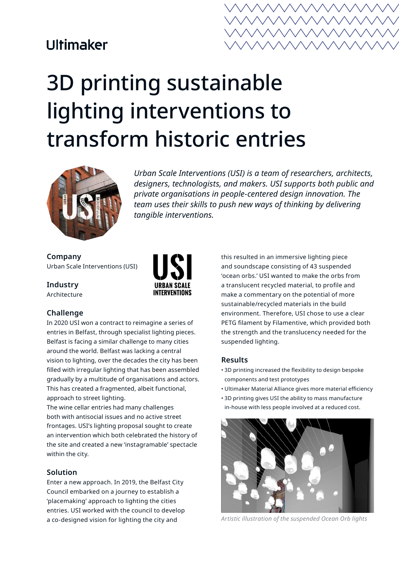## **Ultimaker**



# 3D printing sustainable lighting interventions to transform historic entries



*Urban Scale Interventions (USI) is a team of researchers, architects, designers, technologists, and makers. USI supports both public and private organisations in people-centered design innovation. The team uses their skills to push new ways of thinking by delivering tangible interventions.*

**Company** Urban Scale Interventions (USI)

**Industry** Architecture



### **Challenge**

In 2020 USI won a contract to reimagine a series of entries in Belfast, through specialist lighting pieces. Belfast is facing a similar challenge to many cities around the world. Belfast was lacking a central vision to lighting, over the decades the city has been filled with irregular lighting that has been assembled gradually by a multitude of organisations and actors. This has created a fragmented, albeit functional, approach to street lighting.

The wine cellar entries had many challenges both with antisocial issues and no active street frontages. USI's lighting proposal sought to create an intervention which both celebrated the history of the site and created a new 'instagramable' spectacle within the city.

### **Solution**

Enter a new approach. In 2019, the Belfast City Council embarked on a journey to establish a 'placemaking' approach to lighting the cities entries. USI worked with the council to develop a co-designed vision for lighting the city and

this resulted in an immersive lighting piece and soundscape consisting of 43 suspended 'ocean orbs.' USI wanted to make the orbs from a translucent recycled material, to profile and make a commentary on the potential of more sustainable/recycled materials in the build environment. Therefore, USI chose to use a clear PETG filament by Filamentive, which provided both the strength and the translucency needed for the suspended lighting.

### **Results**

- 3D printing increased the flexibility to design bespoke components and test prototypes
- Ultimaker Material Alliance gives more material efficiency
- 3D printing gives USI the ability to mass manufacture in-house with less people involved at a reduced cost.



*Artistic illustration of the suspended Ocean Orb lights*